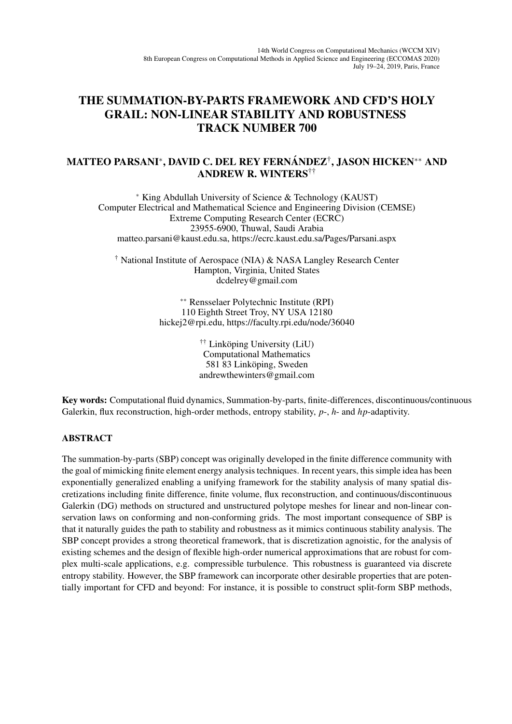## THE SUMMATION-BY-PARTS FRAMEWORK AND CFD'S HOLY GRAIL: NON-LINEAR STABILITY AND ROBUSTNESS TRACK NUMBER 700

## MATTEO PARSANI\*, DAVID C. DEL REY FERNÁNDEZ†, JASON HICKEN\*\* AND ANDREW R. WINTERS††

<sup>∗</sup> King Abdullah University of Science & Technology (KAUST) Computer Electrical and Mathematical Science and Engineering Division (CEMSE) Extreme Computing Research Center (ECRC) 23955-6900, Thuwal, Saudi Arabia matteo.parsani@kaust.edu.sa, https://ecrc.kaust.edu.sa/Pages/Parsani.aspx

† National Institute of Aerospace (NIA) & NASA Langley Research Center Hampton, Virginia, United States dcdelrey@gmail.com

> ∗∗ Rensselaer Polytechnic Institute (RPI) 110 Eighth Street Troy, NY USA 12180 hickej2@rpi.edu, https://faculty.rpi.edu/node/36040

> > $\dagger$ † Linköping University (LiU) Computational Mathematics 581 83 Linköping, Sweden andrewthewinters@gmail.com

Key words: Computational fluid dynamics, Summation-by-parts, finite-differences, discontinuous/continuous Galerkin, flux reconstruction, high-order methods, entropy stability, *p*-, *h*- and *hp*-adaptivity.

## ABSTRACT

The summation-by-parts (SBP) concept was originally developed in the finite difference community with the goal of mimicking finite element energy analysis techniques. In recent years, this simple idea has been exponentially generalized enabling a unifying framework for the stability analysis of many spatial discretizations including finite difference, finite volume, flux reconstruction, and continuous/discontinuous Galerkin (DG) methods on structured and unstructured polytope meshes for linear and non-linear conservation laws on conforming and non-conforming grids. The most important consequence of SBP is that it naturally guides the path to stability and robustness as it mimics continuous stability analysis. The SBP concept provides a strong theoretical framework, that is discretization agnoistic, for the analysis of existing schemes and the design of flexible high-order numerical approximations that are robust for complex multi-scale applications, e.g. compressible turbulence. This robustness is guaranteed via discrete entropy stability. However, the SBP framework can incorporate other desirable properties that are potentially important for CFD and beyond: For instance, it is possible to construct split-form SBP methods,